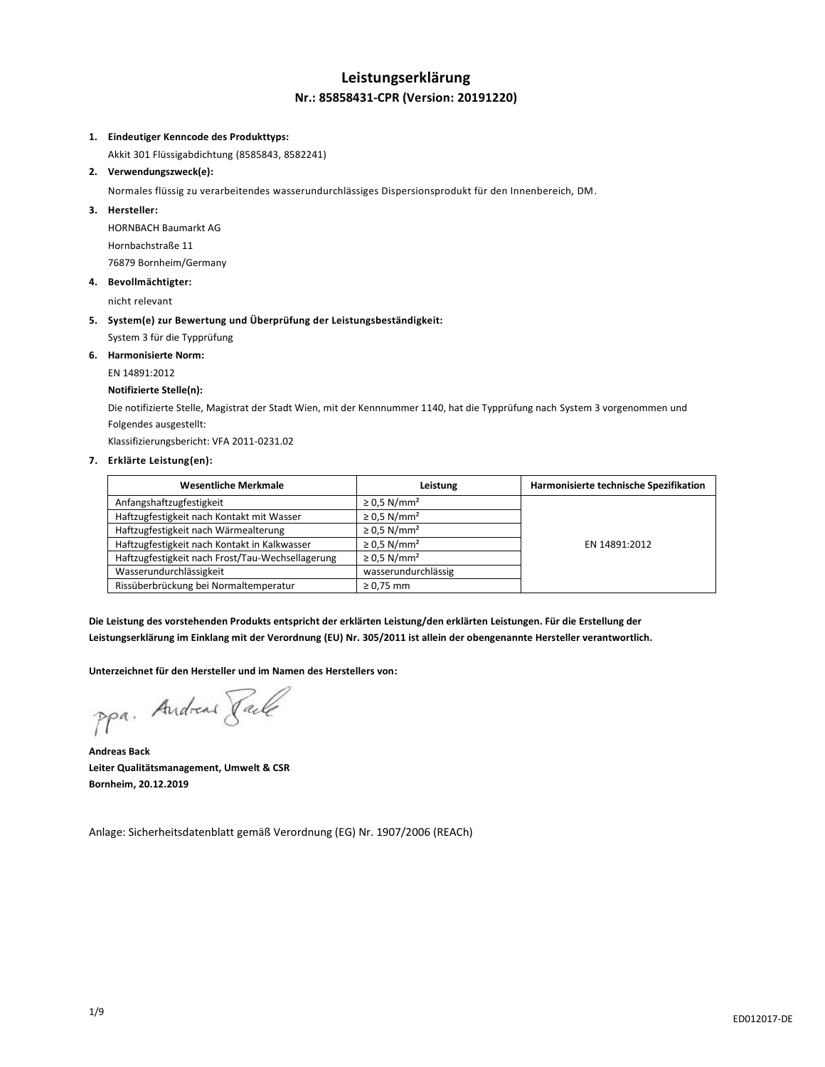# **Leistungserklärung Nr.: 85858431-CPR (Version: 20191220)**

#### **1. Eindeutiger Kenncode des Produkttyps:**

Akkit 301 Flüssigabdichtung (8585843, 8582241)

#### **2. Verwendungszweck(e):**

Normales flüssig zu verarbeitendes wasserundurchlässiges Dispersionsprodukt für den Innenbereich, DM.

#### **3. Hersteller:**

HORNBACH Baumarkt AG Hornbachstraße 11 76879 Bornheim/Germany

**4. Bevollmächtigter:**

nicht relevant

### **5. System(e) zur Bewertung und Überprüfung der Leistungsbeständigkeit:** System 3 für die Typprüfung

**6. Harmonisierte Norm:**

# EN 14891:2012

# **Notifizierte Stelle(n):**

Die notifizierte Stelle, Magistrat der Stadt Wien, mit der Kennnummer 1140, hat die Typprüfung nach System 3 vorgenommen und Folgendes ausgestellt:

Klassifizierungsbericht: VFA 2011-0231.02

### **7. Erklärte Leistung(en):**

| <b>Wesentliche Merkmale</b>                      | Leistung                     | Harmonisierte technische Spezifikation |
|--------------------------------------------------|------------------------------|----------------------------------------|
| Anfangshaftzugfestigkeit                         | $\geq$ 0.5 N/mm <sup>2</sup> |                                        |
| Haftzugfestigkeit nach Kontakt mit Wasser        | $\geq$ 0.5 N/mm <sup>2</sup> |                                        |
| Haftzugfestigkeit nach Wärmealterung             | $\geq$ 0.5 N/mm <sup>2</sup> |                                        |
| Haftzugfestigkeit nach Kontakt in Kalkwasser     | $\geq$ 0.5 N/mm <sup>2</sup> | EN 14891:2012                          |
| Haftzugfestigkeit nach Frost/Tau-Wechsellagerung | $\geq$ 0.5 N/mm <sup>2</sup> |                                        |
| Wasserundurchlässigkeit                          | wasserundurchlässig          |                                        |
| Rissüberbrückung bei Normaltemperatur            | $\geq 0.75$ mm               |                                        |

**Die Leistung des vorstehenden Produkts entspricht der erklärten Leistung/den erklärten Leistungen. Für die Erstellung der Leistungserklärung im Einklang mit der Verordnung (EU) Nr. 305/2011 ist allein der obengenannte Hersteller verantwortlich.**

**Unterzeichnet für den Hersteller und im Namen des Herstellers von:**

ppa. Andreas Pale

**Andreas Back Leiter Qualitätsmanagement, Umwelt & CSR Bornheim, 20.12.2019**

Anlage: Sicherheitsdatenblatt gemäß Verordnung (EG) Nr. 1907/2006 (REACh)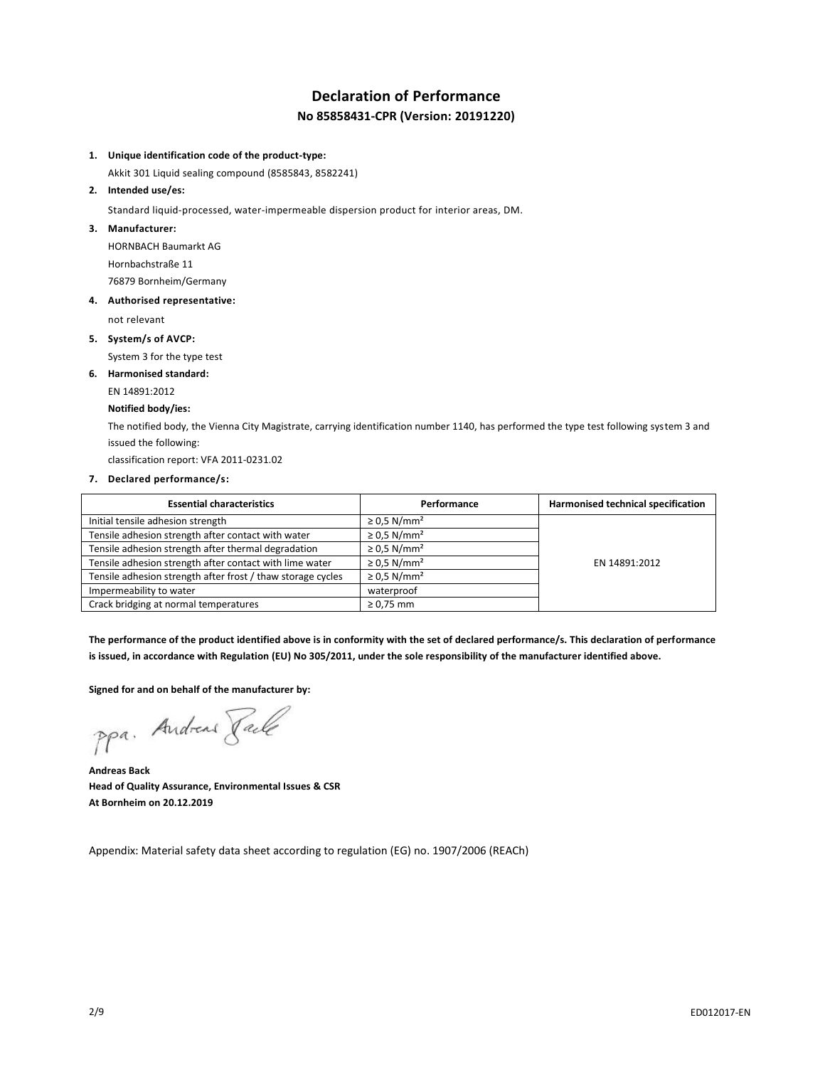# **Declaration of Performance No 85858431-CPR (Version: 20191220)**

#### **1. Unique identification code of the product-type:**

Akkit 301 Liquid sealing compound (8585843, 8582241)

**2. Intended use/es:**

Standard liquid-processed, water-impermeable dispersion product for interior areas, DM.

**3. Manufacturer:**

HORNBACH Baumarkt AG Hornbachstraße 11 76879 Bornheim/Germany

**4. Authorised representative:**

not relevant

**5. System/s of AVCP:**

System 3 for the type test

### **6. Harmonised standard:**

EN 14891:2012

#### **Notified body/ies:**

The notified body, the Vienna City Magistrate, carrying identification number 1140, has performed the type test following system 3 and issued the following:

classification report: VFA 2011-0231.02

#### **7. Declared performance/s:**

| <b>Essential characteristics</b>                            | Performance                  | Harmonised technical specification |
|-------------------------------------------------------------|------------------------------|------------------------------------|
| Initial tensile adhesion strength                           | $\geq$ 0.5 N/mm <sup>2</sup> |                                    |
| Tensile adhesion strength after contact with water          | $\geq$ 0.5 N/mm <sup>2</sup> |                                    |
| Tensile adhesion strength after thermal degradation         | $\geq$ 0.5 N/mm <sup>2</sup> |                                    |
| Tensile adhesion strength after contact with lime water     | $\geq$ 0.5 N/mm <sup>2</sup> | EN 14891:2012                      |
| Tensile adhesion strength after frost / thaw storage cycles | $\geq$ 0.5 N/mm <sup>2</sup> |                                    |
| Impermeability to water                                     | waterproof                   |                                    |
| Crack bridging at normal temperatures                       | $\geq 0.75$ mm               |                                    |

**The performance of the product identified above is in conformity with the set of declared performance/s. This declaration of performance is issued, in accordance with Regulation (EU) No 305/2011, under the sole responsibility of the manufacturer identified above.**

#### **Signed for and on behalf of the manufacturer by:**

ppa. Andreas Pale

**Andreas Back Head of Quality Assurance, Environmental Issues & CSR At Bornheim on 20.12.2019**

Appendix: Material safety data sheet according to regulation (EG) no. 1907/2006 (REACh)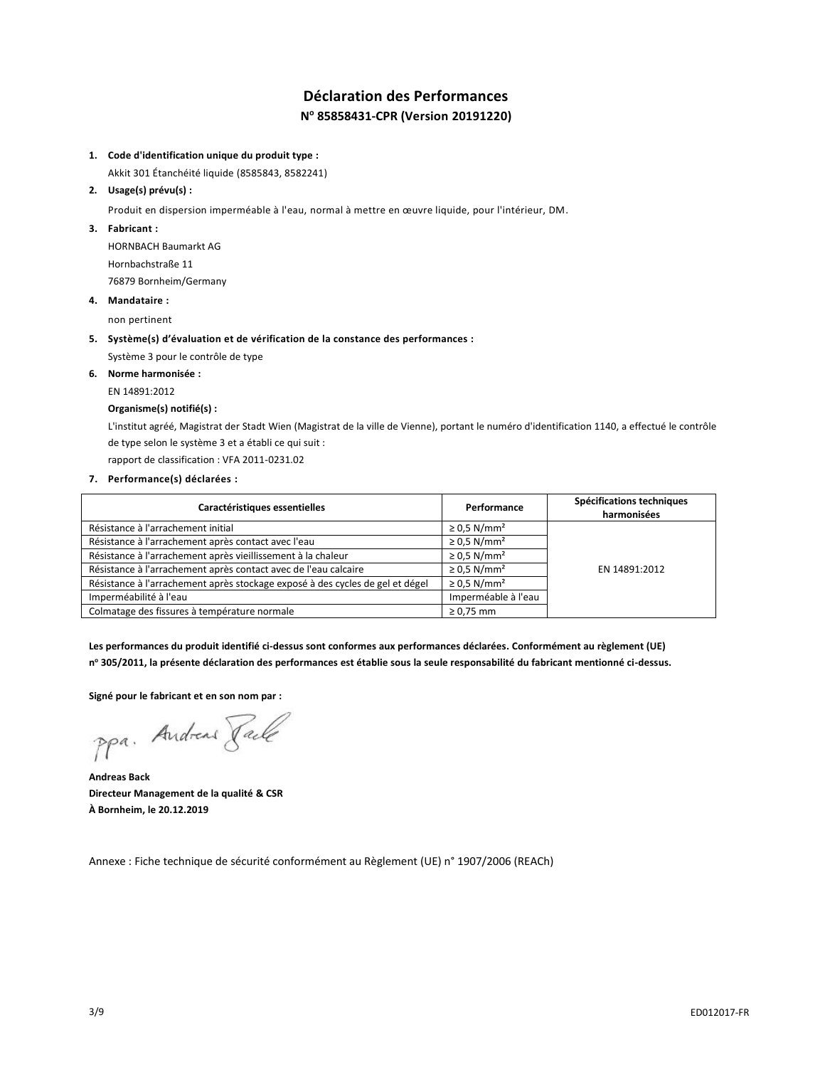# **Déclaration des Performances N <sup>o</sup> 85858431-CPR (Version 20191220)**

#### **1. Code d'identification unique du produit type :**

Akkit 301 Étanchéité liquide (8585843, 8582241)

#### **2. Usage(s) prévu(s) :**

Produit en dispersion imperméable à l'eau, normal à mettre en œuvre liquide, pour l'intérieur, DM.

#### **3. Fabricant :**

HORNBACH Baumarkt AG Hornbachstraße 11 76879 Bornheim/Germany

### **4. Mandataire :**

non pertinent

#### **5. Système(s) d'évaluation et de vérification de la constance des performances :**

Système 3 pour le contrôle de type

#### **6. Norme harmonisée :**

EN 14891:2012

#### **Organisme(s) notifié(s) :**

L'institut agréé, Magistrat der Stadt Wien (Magistrat de la ville de Vienne), portant le numéro d'identification 1140, a effectué le contrôle de type selon le système 3 et a établi ce qui suit :

rapport de classification : VFA 2011-0231.02

#### **7. Performance(s) déclarées :**

| Caractéristiques essentielles                                                 | Performance                  | Spécifications techniques<br>harmonisées |
|-------------------------------------------------------------------------------|------------------------------|------------------------------------------|
| Résistance à l'arrachement initial                                            | $\geq$ 0.5 N/mm <sup>2</sup> |                                          |
| Résistance à l'arrachement après contact avec l'eau                           | $\geq$ 0.5 N/mm <sup>2</sup> |                                          |
| Résistance à l'arrachement après vieillissement à la chaleur                  | $\geq$ 0.5 N/mm <sup>2</sup> |                                          |
| Résistance à l'arrachement après contact avec de l'eau calcaire               | $\geq$ 0.5 N/mm <sup>2</sup> | EN 14891:2012                            |
| Résistance à l'arrachement après stockage exposé à des cycles de gel et dégel | $\geq$ 0.5 N/mm <sup>2</sup> |                                          |
| Imperméabilité à l'eau                                                        | Imperméable à l'eau          |                                          |
| Colmatage des fissures à température normale                                  | $\geq 0.75$ mm               |                                          |

**Les performances du produit identifié ci-dessus sont conformes aux performances déclarées. Conformément au règlement (UE) n <sup>o</sup> 305/2011, la présente déclaration des performances est établie sous la seule responsabilité du fabricant mentionné ci-dessus.**

**Signé pour le fabricant et en son nom par :**

ppa. Andreas Pale

**Andreas Back Directeur Management de la qualité & CSR À Bornheim, le 20.12.2019**

Annexe : Fiche technique de sécurité conformément au Règlement (UE) n° 1907/2006 (REACh)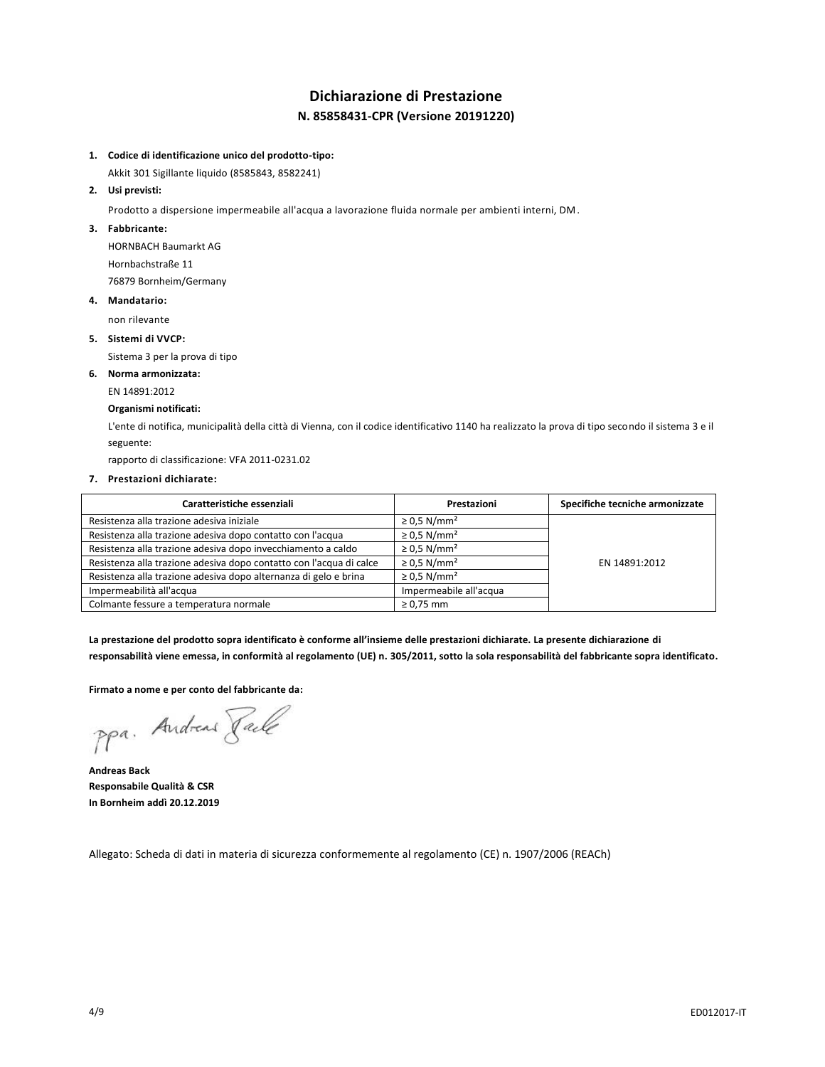# **Dichiarazione di Prestazione N. 85858431-CPR (Versione 20191220)**

### **1. Codice di identificazione unico del prodotto-tipo:**

Akkit 301 Sigillante liquido (8585843, 8582241)

#### **2. Usi previsti:**

Prodotto a dispersione impermeabile all'acqua a lavorazione fluida normale per ambienti interni, DM.

#### **3. Fabbricante:**

HORNBACH Baumarkt AG Hornbachstraße 11 76879 Bornheim/Germany

#### **4. Mandatario:**

non rilevante

#### **5. Sistemi di VVCP:**

Sistema 3 per la prova di tipo

#### **6. Norma armonizzata:**

EN 14891:2012

#### **Organismi notificati:**

L'ente di notifica, municipalità della città di Vienna, con il codice identificativo 1140 ha realizzato la prova di tipo secondo il sistema 3 e il seguente:

rapporto di classificazione: VFA 2011-0231.02

#### **7. Prestazioni dichiarate:**

| Caratteristiche essenziali                                          | Prestazioni                  | Specifiche tecniche armonizzate |
|---------------------------------------------------------------------|------------------------------|---------------------------------|
| Resistenza alla trazione adesiva iniziale                           | $\geq$ 0.5 N/mm <sup>2</sup> |                                 |
| Resistenza alla trazione adesiva dopo contatto con l'acqua          | $\geq$ 0.5 N/mm <sup>2</sup> |                                 |
| Resistenza alla trazione adesiva dopo invecchiamento a caldo        | $\geq$ 0.5 N/mm <sup>2</sup> |                                 |
| Resistenza alla trazione adesiva dopo contatto con l'acqua di calce | $\geq$ 0.5 N/mm <sup>2</sup> | EN 14891:2012                   |
| Resistenza alla trazione adesiva dopo alternanza di gelo e brina    | $\geq$ 0.5 N/mm <sup>2</sup> |                                 |
| Impermeabilità all'acqua                                            | Impermeabile all'acqua       |                                 |
| Colmante fessure a temperatura normale                              | $\geq 0.75$ mm               |                                 |

**La prestazione del prodotto sopra identificato è conforme all'insieme delle prestazioni dichiarate. La presente dichiarazione di responsabilità viene emessa, in conformità al regolamento (UE) n. 305/2011, sotto la sola responsabilità del fabbricante sopra identificato.**

#### **Firmato a nome e per conto del fabbricante da:**

ppa. Andreas Faile

**Andreas Back Responsabile Qualità & CSR In Bornheim addì 20.12.2019**

Allegato: Scheda di dati in materia di sicurezza conformemente al regolamento (CE) n. 1907/2006 (REACh)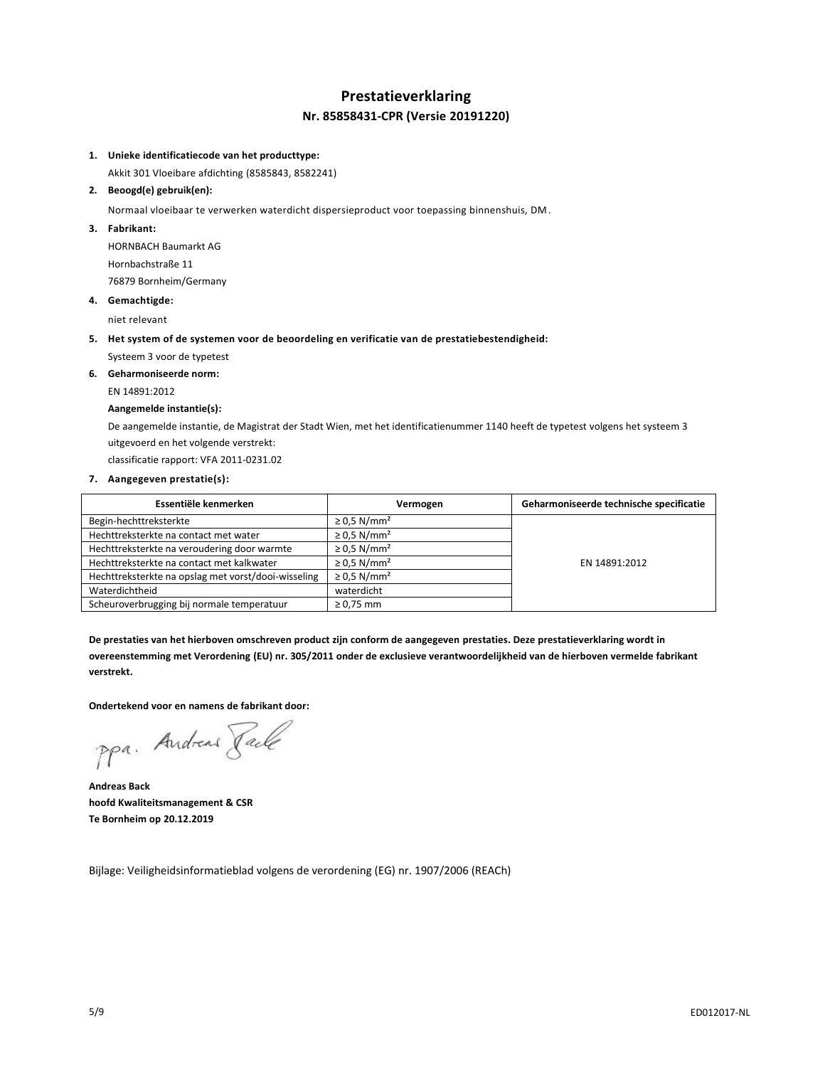# **Prestatieverklaring Nr. 85858431-CPR (Versie 20191220)**

#### **1. Unieke identificatiecode van het producttype:**

Akkit 301 Vloeibare afdichting (8585843, 8582241)

#### **2. Beoogd(e) gebruik(en):**

Normaal vloeibaar te verwerken waterdicht dispersieproduct voor toepassing binnenshuis, DM.

**3. Fabrikant:**

HORNBACH Baumarkt AG Hornbachstraße 11 76879 Bornheim/Germany

#### **4. Gemachtigde:**

niet relevant

**5. Het system of de systemen voor de beoordeling en verificatie van de prestatiebestendigheid:**

Systeem 3 voor de typetest

**6. Geharmoniseerde norm:** EN 14891:2012

# **Aangemelde instantie(s):**

De aangemelde instantie, de Magistrat der Stadt Wien, met het identificatienummer 1140 heeft de typetest volgens het systeem 3 uitgevoerd en het volgende verstrekt:

classificatie rapport: VFA 2011-0231.02

#### **7. Aangegeven prestatie(s):**

| Essentiële kenmerken                                | Vermogen                     | Geharmoniseerde technische specificatie |
|-----------------------------------------------------|------------------------------|-----------------------------------------|
| Begin-hechttreksterkte                              | $\geq$ 0.5 N/mm <sup>2</sup> |                                         |
| Hechttreksterkte na contact met water               | $\geq$ 0.5 N/mm <sup>2</sup> |                                         |
| Hechttreksterkte na veroudering door warmte         | $\geq$ 0.5 N/mm <sup>2</sup> |                                         |
| Hechttreksterkte na contact met kalkwater           | $\geq$ 0.5 N/mm <sup>2</sup> | EN 14891:2012                           |
| Hechttreksterkte na opslag met vorst/dooi-wisseling | $\geq$ 0.5 N/mm <sup>2</sup> |                                         |
| Waterdichtheid                                      | waterdicht                   |                                         |
| Scheuroverbrugging bij normale temperatuur          | $\geq$ 0.75 mm               |                                         |

**De prestaties van het hierboven omschreven product zijn conform de aangegeven prestaties. Deze prestatieverklaring wordt in overeenstemming met Verordening (EU) nr. 305/2011 onder de exclusieve verantwoordelijkheid van de hierboven vermelde fabrikant verstrekt.**

#### **Ondertekend voor en namens de fabrikant door:**

ppa. Andreas Faile

**Andreas Back hoofd Kwaliteitsmanagement & CSR Te Bornheim op 20.12.2019**

Bijlage: Veiligheidsinformatieblad volgens de verordening (EG) nr. 1907/2006 (REACh)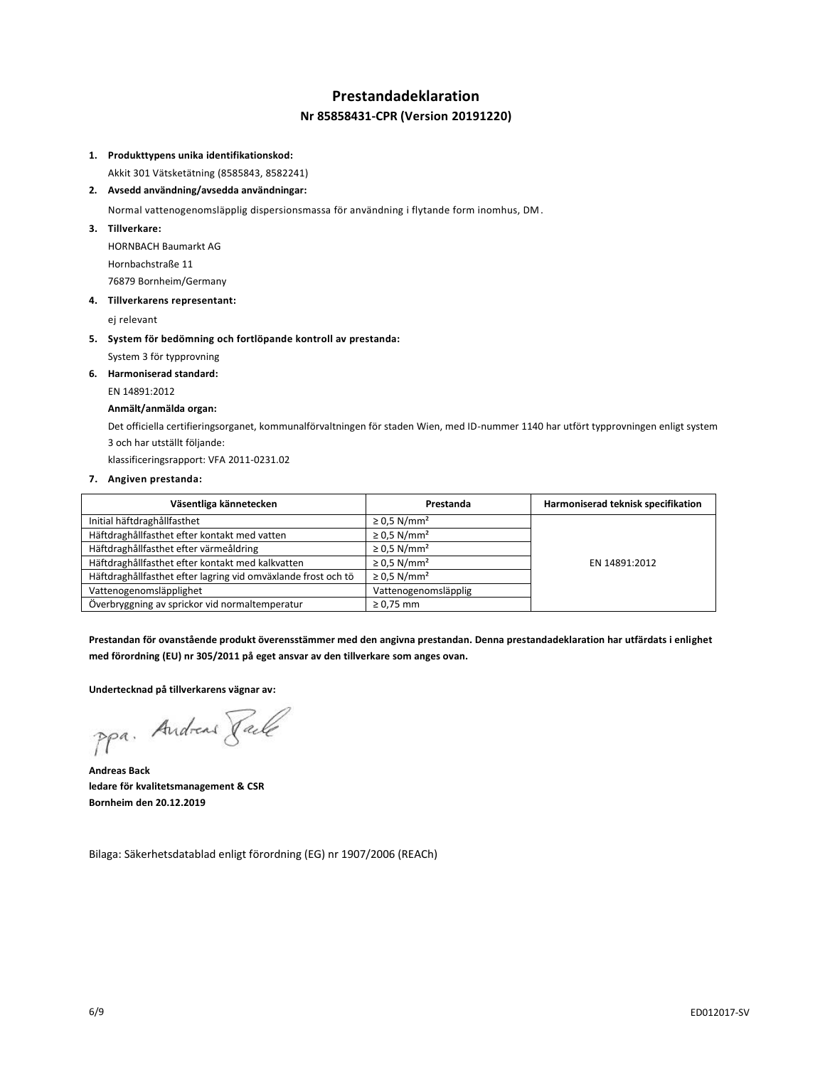# **Prestandadeklaration**

### **Nr 85858431-CPR (Version 20191220)**

#### **1. Produkttypens unika identifikationskod:**

Akkit 301 Vätsketätning (8585843, 8582241)

#### **2. Avsedd användning/avsedda användningar:**

Normal vattenogenomsläpplig dispersionsmassa för användning i flytande form inomhus, DM.

**3. Tillverkare:**

HORNBACH Baumarkt AG Hornbachstraße 11 76879 Bornheim/Germany

#### **4. Tillverkarens representant:**

ej relevant

- **5. System för bedömning och fortlöpande kontroll av prestanda:**
	- System 3 för typprovning
- **6. Harmoniserad standard:**
	- EN 14891:2012

#### **Anmält/anmälda organ:**

Det officiella certifieringsorganet, kommunalförvaltningen för staden Wien, med ID-nummer 1140 har utfört typprovningen enligt system 3 och har utställt följande:

klassificeringsrapport: VFA 2011-0231.02

#### **7. Angiven prestanda:**

| Väsentliga kännetecken                                        | Prestanda                    | Harmoniserad teknisk specifikation |
|---------------------------------------------------------------|------------------------------|------------------------------------|
| Initial häftdraghållfasthet                                   | $\geq$ 0.5 N/mm <sup>2</sup> |                                    |
| Häftdraghållfasthet efter kontakt med vatten                  | $\geq$ 0.5 N/mm <sup>2</sup> |                                    |
| Häftdraghållfasthet efter värmeåldring                        | $\geq$ 0.5 N/mm <sup>2</sup> |                                    |
| Häftdraghållfasthet efter kontakt med kalkvatten              | $\geq$ 0.5 N/mm <sup>2</sup> | EN 14891:2012                      |
| Häftdraghållfasthet efter lagring vid omväxlande frost och tö | $\geq$ 0.5 N/mm <sup>2</sup> |                                    |
| Vattenogenomsläpplighet                                       | Vattenogenomsläpplig         |                                    |
| Överbryggning av sprickor vid normaltemperatur                | $\geq 0.75$ mm               |                                    |

**Prestandan för ovanstående produkt överensstämmer med den angivna prestandan. Denna prestandadeklaration har utfärdats i enlighet med förordning (EU) nr 305/2011 på eget ansvar av den tillverkare som anges ovan.**

**Undertecknad på tillverkarens vägnar av:**

ppa. Andreas Pale

**Andreas Back ledare för kvalitetsmanagement & CSR Bornheim den 20.12.2019**

Bilaga: Säkerhetsdatablad enligt förordning (EG) nr 1907/2006 (REACh)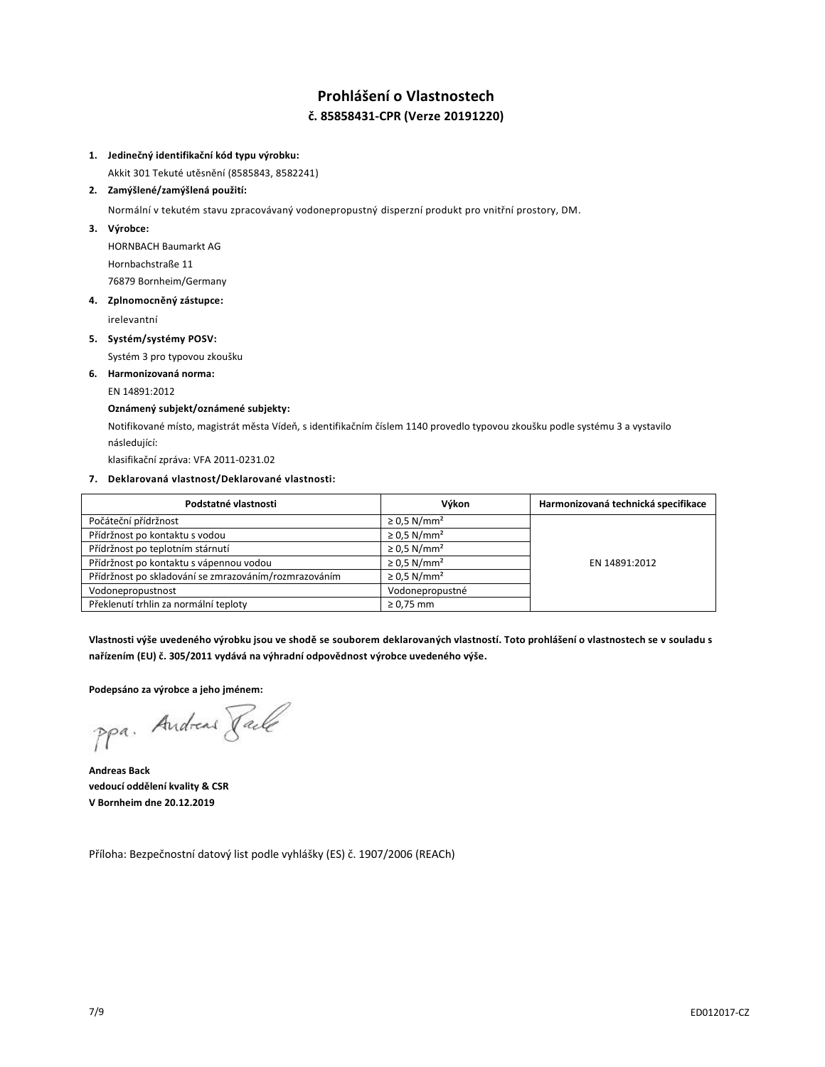# **Prohlášení o Vlastnostech č. 85858431-CPR (Verze 20191220)**

#### **1. Jedinečný identifikační kód typu výrobku:**

Akkit 301 Tekuté utěsnění (8585843, 8582241)

#### **2. Zamýšlené/zamýšlená použití:**

Normální v tekutém stavu zpracovávaný vodonepropustný disperzní produkt pro vnitřní prostory, DM.

**3. Výrobce:**

HORNBACH Baumarkt AG Hornbachstraße 11 76879 Bornheim/Germany

#### **4. Zplnomocněný zástupce:**

irelevantní

**5. Systém/systémy POSV:**

Systém 3 pro typovou zkoušku

**6. Harmonizovaná norma:**

EN 14891:2012

#### **Oznámený subjekt/oznámené subjekty:**

Notifikované místo, magistrát města Vídeň, s identifikačním číslem 1140 provedlo typovou zkoušku podle systému 3 a vystavilo následující:

klasifikační zpráva: VFA 2011-0231.02

#### **7. Deklarovaná vlastnost/Deklarované vlastnosti:**

| Podstatné vlastnosti                                  | Výkon                        | Harmonizovaná technická specifikace |
|-------------------------------------------------------|------------------------------|-------------------------------------|
| Počáteční přídržnost                                  | $\geq$ 0.5 N/mm <sup>2</sup> |                                     |
| Přídržnost po kontaktu s vodou                        | $\geq$ 0.5 N/mm <sup>2</sup> |                                     |
| Přídržnost po teplotním stárnutí                      | $\geq$ 0.5 N/mm <sup>2</sup> |                                     |
| Přídržnost po kontaktu s vápennou vodou               | $\geq$ 0.5 N/mm <sup>2</sup> | EN 14891:2012                       |
| Přídržnost po skladování se zmrazováním/rozmrazováním | $\geq$ 0.5 N/mm <sup>2</sup> |                                     |
| Vodonepropustnost                                     | Vodonepropustné              |                                     |
| Překlenutí trhlin za normální teploty                 | $\geq 0.75$ mm               |                                     |

**Vlastnosti výše uvedeného výrobku jsou ve shodě se souborem deklarovaných vlastností. Toto prohlášení o vlastnostech se v souladu s nařízením (EU) č. 305/2011 vydává na výhradní odpovědnost výrobce uvedeného výše.**

#### **Podepsáno za výrobce a jeho jménem:**

ppa. Andreas Faile

**Andreas Back vedoucí oddělení kvality & CSR V Bornheim dne 20.12.2019**

Příloha: Bezpečnostní datový list podle vyhlášky (ES) č. 1907/2006 (REACh)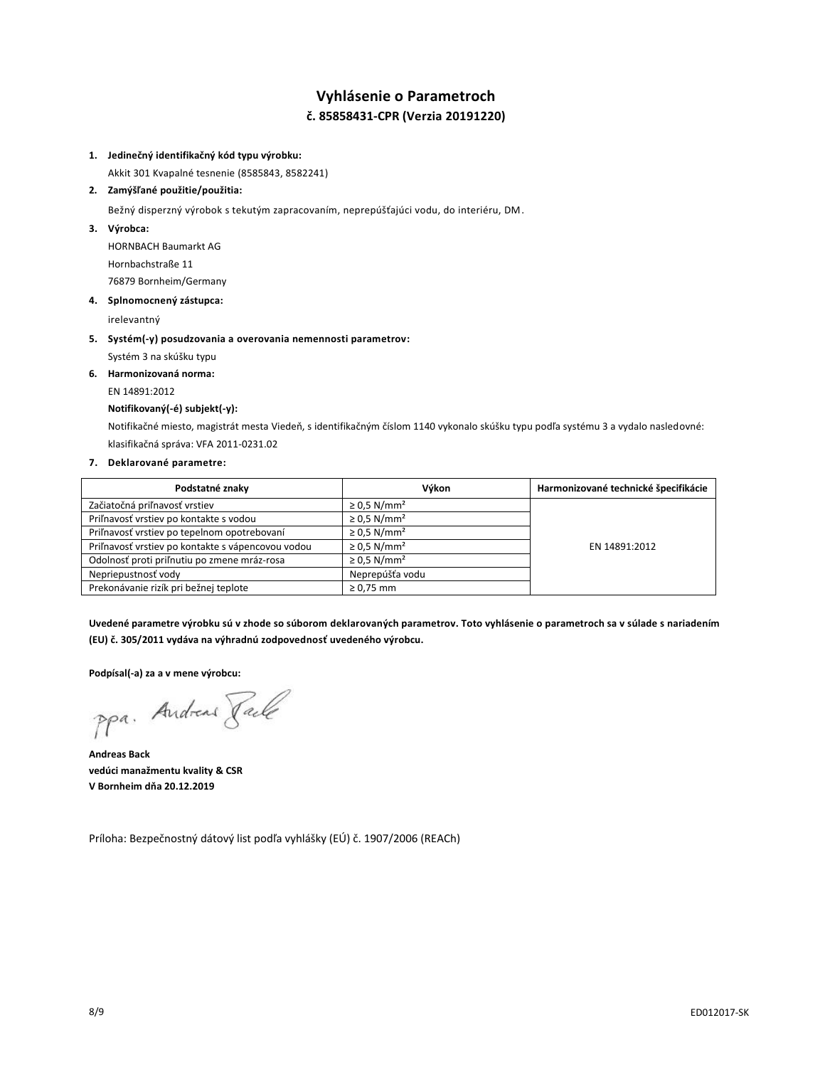# **Vyhlásenie o Parametroch č. 85858431-CPR (Verzia 20191220)**

#### **1. Jedinečný identifikačný kód typu výrobku:**

Akkit 301 Kvapalné tesnenie (8585843, 8582241)

#### **2. Zamýšľané použitie/použitia:**

Bežný disperzný výrobok s tekutým zapracovaním, neprepúšťajúci vodu, do interiéru, DM.

**3. Výrobca:**

HORNBACH Baumarkt AG Hornbachstraße 11 76879 Bornheim/Germany

#### **4. Splnomocnený zástupca:**

irelevantný

- **5. Systém(-y) posudzovania a overovania nemennosti parametrov:**
	- Systém 3 na skúšku typu
- **6. Harmonizovaná norma:**

# EN 14891:2012

### **Notifikovaný(-é) subjekt(-y):**

Notifikačné miesto, magistrát mesta Viedeň, s identifikačným číslom 1140 vykonalo skúšku typu podľa systému 3 a vydalo nasledovné: klasifikačná správa: VFA 2011-0231.02

### **7. Deklarované parametre:**

| Podstatné znaky                                   | Výkon                        | Harmonizované technické špecifikácie |
|---------------------------------------------------|------------------------------|--------------------------------------|
| Začiatočná priľnavosť vrstiev                     | $\geq$ 0.5 N/mm <sup>2</sup> |                                      |
| Priľnavosť vrstiev po kontakte s vodou            | $\geq$ 0.5 N/mm <sup>2</sup> |                                      |
| Priľnavosť vrstiev po tepelnom opotrebovaní       | $\geq$ 0.5 N/mm <sup>2</sup> |                                      |
| Priľnavosť vrstiev po kontakte s vápencovou vodou | $\geq$ 0.5 N/mm <sup>2</sup> | EN 14891:2012                        |
| Odolnosť proti priľnutiu po zmene mráz-rosa       | $\geq$ 0.5 N/mm <sup>2</sup> |                                      |
| Nepriepustnosť vody                               | Neprepúšťa vodu              |                                      |
| Prekonávanie rizík pri bežnej teplote             | $\geq 0.75$ mm               |                                      |

**Uvedené parametre výrobku sú v zhode so súborom deklarovaných parametrov. Toto vyhlásenie o parametroch sa v súlade s nariadením (EU) č. 305/2011 vydáva na výhradnú zodpovednosť uvedeného výrobcu.**

**Podpísal(-a) za a v mene výrobcu:**

ppa. Andreas Pale

**Andreas Back vedúci manažmentu kvality & CSR V Bornheim dňa 20.12.2019**

Príloha: Bezpečnostný dátový list podľa vyhlášky (EÚ) č. 1907/2006 (REACh)